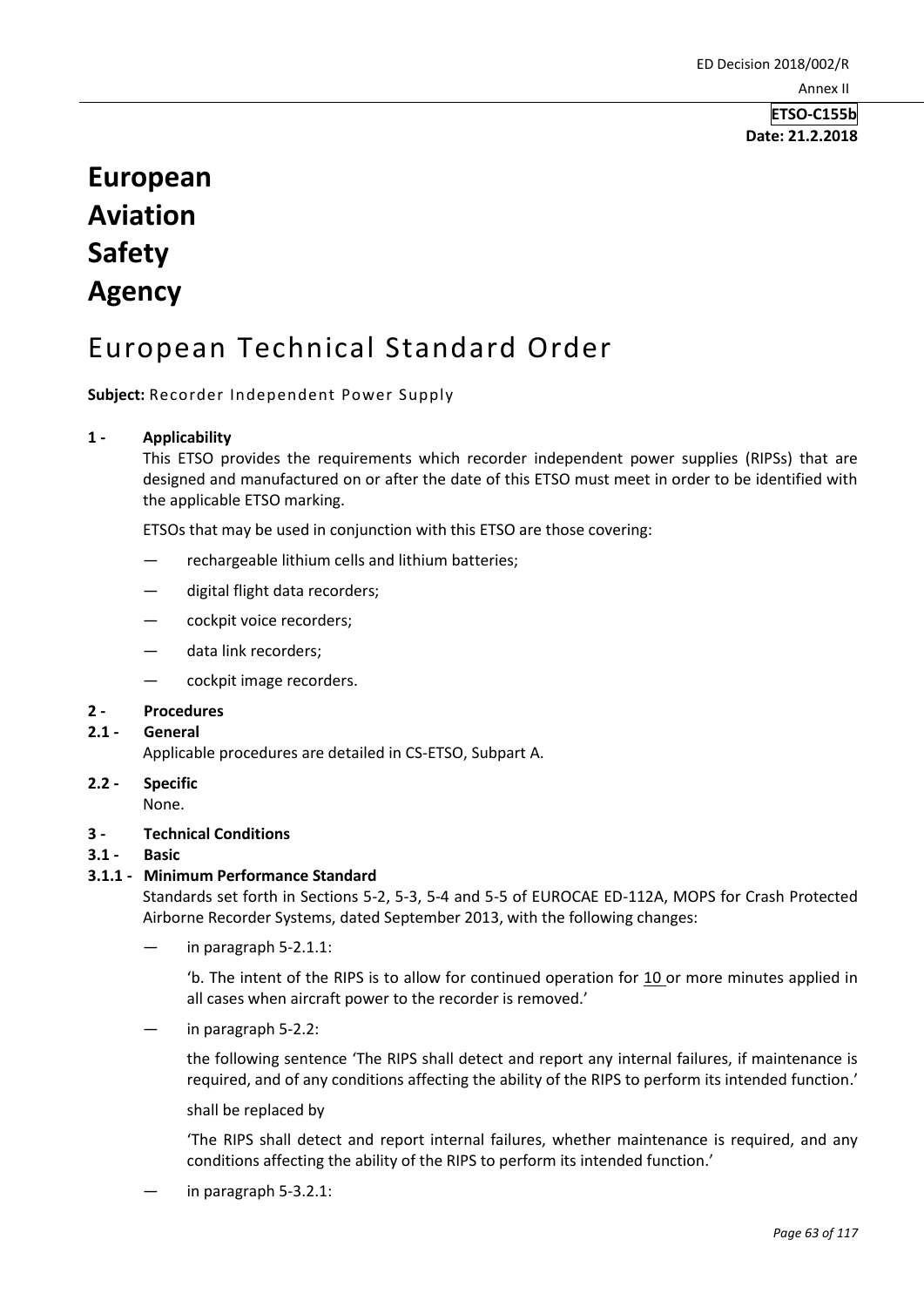**ETSO-C155b Date: 21.2.2018**

# **European Aviation Safety Agency**

## European Technical Standard Order

**Subject:** Recorder Independent Power Supply

#### **1 - Applicability**

This ETSO provides the requirements which recorder independent power supplies (RIPSs) that are designed and manufactured on or after the date of this ETSO must meet in order to be identified with the applicable ETSO marking.

ETSOs that may be used in conjunction with this ETSO are those covering:

- rechargeable lithium cells and lithium batteries;
- digital flight data recorders;
- cockpit voice recorders;
- data link recorders;
- cockpit image recorders.

#### **2 - Procedures**

#### **2.1 - General**

Applicable procedures are detailed in CS-ETSO, Subpart A.

**2.2 - Specific**  None.

#### **3 - Technical Conditions**

**3.1 - Basic** 

#### **3.1.1 - Minimum Performance Standard**

Standards set forth in Sections 5-2, 5-3, 5-4 and 5-5 of EUROCAE ED-112A, MOPS for Crash Protected Airborne Recorder Systems, dated September 2013, with the following changes:

in paragraph 5-2.1.1:

'b. The intent of the RIPS is to allow for continued operation for  $10$  or more minutes applied in all cases when aircraft power to the recorder is removed.'

in paragraph 5-2.2:

the following sentence 'The RIPS shall detect and report any internal failures, if maintenance is required, and of any conditions affecting the ability of the RIPS to perform its intended function.'

shall be replaced by

'The RIPS shall detect and report internal failures, whether maintenance is required, and any conditions affecting the ability of the RIPS to perform its intended function.'

in paragraph 5-3.2.1: